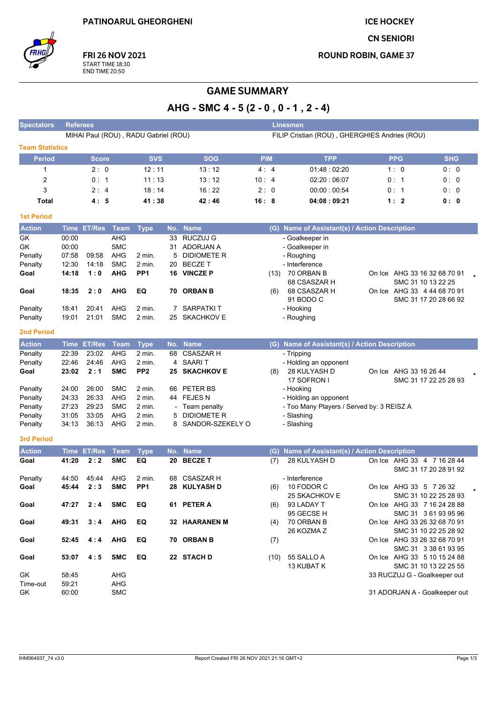**ICE HOCKEY** 

**CN SENIORI** 

**ROUND ROBIN, GAME 37** 



FRI 26 NOV 2021 START TIME 18:30<br>END TIME 20:50

# **GAME SUMMARY**

AHG - SMC 4 - 5 (2 - 0, 0 - 1, 2 - 4)

| <b>Spectators</b>      | <b>Referees</b>                                                                       |                    |                   |                 |     |                      |            |     | Linesmen                                      |                        |                                                  |
|------------------------|---------------------------------------------------------------------------------------|--------------------|-------------------|-----------------|-----|----------------------|------------|-----|-----------------------------------------------|------------------------|--------------------------------------------------|
|                        | MIHAI Paul (ROU), RADU Gabriel (ROU)<br>FILIP Cristian (ROU), GHERGHIES Andries (ROU) |                    |                   |                 |     |                      |            |     |                                               |                        |                                                  |
| <b>Team Statistics</b> |                                                                                       |                    |                   |                 |     |                      |            |     |                                               |                        |                                                  |
| <b>Period</b>          |                                                                                       | <b>Score</b>       |                   | <b>SVS</b>      |     | <b>SOG</b>           | <b>PIM</b> |     | <b>TPP</b>                                    | <b>PPG</b>             | <b>SHG</b>                                       |
| 1                      |                                                                                       | 2:0                |                   | 12:11           |     | 13:12                | 4:4        |     | 01.48:02.20                                   | 1:0                    | 0:0                                              |
| $\overline{2}$         |                                                                                       | 0: 1               |                   | 11:13           |     | 13:12                | 10:4       |     | 02:20 06:07                                   | 0:1                    | 0:0                                              |
| 3                      |                                                                                       | 2:4                |                   | 18:14           |     | 16:22                | 2:0        |     | 00:00:00:54                                   | 0:1                    | 0:0                                              |
| Total                  |                                                                                       | 4:5                |                   | 41:38           |     | 42:46                | 16:8       |     | 04:08:09:21                                   | 1:2                    | 0: 0                                             |
| <b>1st Period</b>      |                                                                                       |                    |                   |                 |     |                      |            |     |                                               |                        |                                                  |
| <b>Action</b>          |                                                                                       | Time ET/Res        | Team              | <b>Type</b>     |     | No. Name             |            |     | (G) Name of Assistant(s) / Action Description |                        |                                                  |
| GK                     | 00:00                                                                                 |                    | AHG               |                 | 33  | <b>RUCZUJ G</b>      |            |     | - Goalkeeper in                               |                        |                                                  |
| GK                     | 00:00                                                                                 |                    | <b>SMC</b>        |                 |     | 31 ADORJAN A         |            |     | - Goalkeeper in                               |                        |                                                  |
| Penalty                | 07:58                                                                                 | 09:58              | AHG               | 2 min.          | 5   | <b>DIDIOMETE R</b>   |            |     | - Roughing                                    |                        |                                                  |
| Penalty                | 12:30                                                                                 | 14:18              | <b>SMC</b>        | 2 min.          | 20  | <b>BECZET</b>        |            |     | - Interference                                |                        |                                                  |
| Goal                   | 14:18                                                                                 | 1:0                | <b>AHG</b>        | PP <sub>1</sub> |     | 16 VINCZE P          |            |     | (13) 70 ORBAN B                               |                        | On Ice AHG 33 16 32 68 70 91                     |
|                        |                                                                                       |                    |                   |                 |     |                      |            |     | 68 CSASZAR H                                  |                        | SMC 31 10 13 22 25                               |
| Goal                   | 18:35                                                                                 | 2:0                | <b>AHG</b>        | EQ              | 70  | <b>ORBAN B</b>       |            | (6) | 68 CSASZAR H                                  |                        | On Ice AHG 33 4 44 68 70 91                      |
|                        |                                                                                       |                    |                   |                 |     |                      |            |     | 91 BODO C                                     |                        | SMC 31 17 20 28 66 92                            |
| Penalty                | 18:41                                                                                 | 20:41              | AHG               | 2 min.          |     | 7 SARPATKIT          |            |     | - Hooking                                     |                        |                                                  |
| Penalty                | 19:01                                                                                 | 21:01              | <b>SMC</b>        | 2 min.          |     | 25 SKACHKOV E        |            |     | - Roughing                                    |                        |                                                  |
| <b>2nd Period</b>      |                                                                                       |                    |                   |                 |     |                      |            |     |                                               |                        |                                                  |
| <b>Action</b>          |                                                                                       | Time ET/Res        | Team              | <b>Type</b>     | No. | <b>Name</b>          |            |     | (G) Name of Assistant(s) / Action Description |                        |                                                  |
| Penalty                | 22:39                                                                                 | 23:02              | AHG               | 2 min.          | 68  | <b>CSASZAR H</b>     |            |     | - Tripping                                    |                        |                                                  |
| Penalty                | 22:46                                                                                 | 24:46              | AHG               | 2 min.          |     | 4 SAARIT             |            |     | - Holding an opponent                         |                        |                                                  |
| Goal                   | 23:02                                                                                 | 2:1                | <b>SMC</b>        | PP <sub>2</sub> |     | <b>25 SKACHKOV E</b> |            | (8) | 28 KULYASH D                                  | On Ice AHG 33 16 26 44 |                                                  |
|                        |                                                                                       |                    |                   |                 |     |                      |            |     | 17 SOFRON I                                   |                        | SMC 31 17 22 25 28 93                            |
| Penalty                | 24:00                                                                                 | 26:00              | <b>SMC</b>        | 2 min.          | 66  | PETER BS             |            |     | - Hooking                                     |                        |                                                  |
| Penalty                | 24:33                                                                                 | 26:33              | AHG               | 2 min.          | 44  | <b>FEJESN</b>        |            |     | - Holding an opponent                         |                        |                                                  |
| Penalty                | 27:23                                                                                 | 29:23              | <b>SMC</b>        | 2 min.          |     | Team penalty         |            |     | - Too Many Players / Served by: 3 REISZ A     |                        |                                                  |
| Penalty                | 31:05                                                                                 | 33:05              | AHG               | 2 min.          | 5   | <b>DIDIOMETE R</b>   |            |     | - Slashing                                    |                        |                                                  |
| Penalty                | 34:13                                                                                 | 36:13              | AHG               | 2 min.          | 8   | SANDOR-SZEKELY O     |            |     | - Slashing                                    |                        |                                                  |
| <b>3rd Period</b>      |                                                                                       |                    |                   |                 |     |                      |            |     |                                               |                        |                                                  |
| <b>Action</b>          |                                                                                       | <b>Time ET/Res</b> | <b>Team</b>       | <b>Type</b>     | No. | <b>Name</b>          |            | (G) | Name of Assistant(s) / Action Description     |                        |                                                  |
| Goal                   | 41:20                                                                                 | 2:2                | <b>SMC</b>        | EQ              |     | 20 BECZE T           |            | (7) | 28 KULYASH D                                  |                        | On Ice AHG 33 4 7 16 28 44                       |
|                        |                                                                                       |                    |                   |                 |     |                      |            |     |                                               |                        | SMC 31 17 20 28 91 92                            |
| Penalty                | 44:50                                                                                 | 45:44<br>2:3       | AHG<br><b>SMC</b> | 2 min.          | 68  | <b>CSASZAR H</b>     |            |     | - Interference                                |                        |                                                  |
| Goal                   | 45:44                                                                                 |                    |                   | PP <sub>1</sub> |     | 28 KULYASH D         |            | (6) | 10 FODOR C<br>25 SKACHKOV E                   |                        | On Ice AHG 33 5 7 26 32<br>SMC 31 10 22 25 28 93 |
| Goal                   | 47:27                                                                                 | 2:4                | <b>SMC</b>        | EQ              |     | 61 PETER A           |            | (6) | 93 LADAY T                                    |                        | On Ice AHG 33 7 16 24 28 88                      |
|                        |                                                                                       |                    |                   |                 |     |                      |            |     | 95 GECSE H                                    |                        | SMC 31 3 61 93 95 96                             |
| Goal                   | 49:31                                                                                 | 3:4                | <b>AHG</b>        | EQ              |     | <b>32 HAARANEN M</b> |            | (4) | 70 ORBAN B                                    |                        | On Ice AHG 33 26 32 68 70 91                     |
|                        |                                                                                       |                    |                   |                 |     |                      |            |     | 26 KOZMA Z                                    |                        | SMC 31 10 22 25 28 92                            |
| Goal                   | 52:45                                                                                 | 4:4                | <b>AHG</b>        | EQ              |     | 70 ORBAN B           |            | (7) |                                               |                        | On Ice AHG 33 26 32 68 70 91                     |
|                        |                                                                                       |                    |                   |                 |     |                      |            |     |                                               |                        | SMC 31 3 38 61 93 95                             |
| Goal                   | 53:07                                                                                 | 4:5                | <b>SMC</b>        | EQ              |     | 22 STACH D           |            |     | $(10)$ 55 SALLO A                             |                        | On Ice AHG 33 5 10 15 24 88                      |
|                        |                                                                                       |                    |                   |                 |     |                      |            |     | 13 KUBAT K                                    |                        | SMC 31 10 13 22 25 55                            |
| GK                     | 58:45                                                                                 |                    | AHG               |                 |     |                      |            |     |                                               |                        | 33 RUCZUJ G - Goalkeeper out                     |
| Time-out<br>GK         | 59:21<br>60:00                                                                        |                    | AHG<br><b>SMC</b> |                 |     |                      |            |     |                                               |                        | 31 ADORJAN A - Goalkeeper out                    |
|                        |                                                                                       |                    |                   |                 |     |                      |            |     |                                               |                        |                                                  |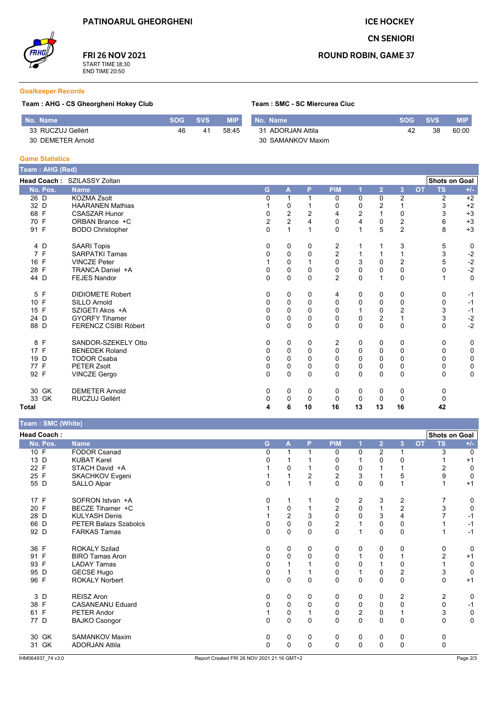**ICE HOCKEY** 

**CN SENIORI** 



FRI 26 NOV 2021 START TIME 18:30<br>END TIME 20:50

## **ROUND ROBIN, GAME 37**

#### **Goalkeeper Records**

### Team : AHG - CS Gheorgheni Hokey Club

Team : SMC - SC Miercurea Ciuc

| No. Name          | <b>SOG</b> | <b>SVS</b> | <b>MIP</b> | No. Name          | <b>SOG</b> | <b>SVS</b> | <b>MIP</b> |
|-------------------|------------|------------|------------|-------------------|------------|------------|------------|
| 33 RUCZUJ Gellért | 46         | 41         | 58.45      | 31 ADORJAN Attila | 42         | 38         | 60:00      |
| 30 DEMETER Arnold |            |            |            | 30 SAMANKOV Maxim |            |            |            |

#### **Game Statistics**

|              | Team: AHG (Red) |                             |             |               |             |                |                  |                         |                         |           |                      |              |
|--------------|-----------------|-----------------------------|-------------|---------------|-------------|----------------|------------------|-------------------------|-------------------------|-----------|----------------------|--------------|
|              |                 | Head Coach: SZILASSY Zoltan |             |               |             |                |                  |                         |                         |           | <b>Shots on Goal</b> |              |
|              | No. Pos.        | <b>Name</b>                 | G           | A             | P           | <b>PIM</b>     |                  | $\overline{2}$          | 3                       | <b>OT</b> | <b>TS</b>            | $+/-$        |
| 26 D         |                 | <b>KOZMA Zsolt</b>          | 0           |               |             | 0              | 0                | 0                       | $\boldsymbol{2}$        |           | 2                    | $+2$         |
| 32 D         |                 | <b>HAARANEN Mathias</b>     |             | $\mathbf 0$   |             | 0              | 0                | $\overline{2}$          | 1                       |           | 3                    | $+2$         |
| 68 F         |                 | <b>CSASZAR Hunor</b>        | 0           | $\frac{2}{2}$ | 2           | 4              | $\boldsymbol{2}$ | $\mathbf{1}$            | 0                       |           | 3                    | $+3$         |
| 70 F         |                 | ORBAN Brance +C             | 2           |               | 4           | 0              | 4                | 0                       | $\overline{c}$          |           | 6                    | $+3$         |
| 91 F         |                 | <b>BODO Christopher</b>     | $\mathbf 0$ | 1             |             | 0              | 1                | 5                       | $\overline{2}$          |           | 8                    | $+3$         |
| 4 D          |                 | <b>SAARI Topis</b>          | 0           | 0             | 0           | 2              |                  | 1                       | 3                       |           | 5                    | 0            |
| 7 F          |                 | <b>SARPATKI Tamas</b>       | 0           | 0             | $\Omega$    | $\overline{c}$ |                  | 1                       | 1                       |           | 3                    | $-2$         |
| 16 F         |                 | <b>VINCZE Peter</b>         |             | $\mathbf 0$   |             | $\mathbf 0$    | 3                | $\Omega$                | $\overline{\mathbf{c}}$ |           | 5                    | $-2$<br>$-2$ |
| 28 F         |                 | TRANCA Daniel +A            | 0           | 0             | 0           | 0              | 0                | 0                       | $\pmb{0}$               |           | 0                    |              |
| 44 D         |                 | <b>FEJES Nandor</b>         | $\Omega$    | $\mathbf 0$   | $\Omega$    | $\overline{2}$ | $\mathbf{0}$     | $\mathbf 1$             | $\mathbf 0$             |           |                      | $\mathbf 0$  |
| 5 F          |                 | <b>DIDIOMETE Robert</b>     | 0           | 0             | 0           | 4              | 0                | 0                       | 0                       |           | 0                    | $-1$         |
| 10 F         |                 | <b>SILLO Arnold</b>         | 0           | 0             | $\Omega$    | $\Omega$       | 0                | $\Omega$                | $\mathbf 0$             |           | 0                    | $-1$         |
| 15 F         |                 | SZIGETI Akos +A             | 0           | 0             | $\Omega$    | 0              |                  | 0                       | $\overline{\mathbf{c}}$ |           | 3                    | $-1$         |
| 24 D         |                 | <b>GYORFY Tihamer</b>       | 0           | $\pmb{0}$     | $\mathbf 0$ | 0              | 0                | $\overline{\mathbf{c}}$ | $\mathbf{1}$            |           | 3                    | $-2$<br>$-2$ |
| 88 D         |                 | <b>FERENCZ CSIBI Róbert</b> | $\Omega$    | 0             | $\Omega$    | $\Omega$       | $\mathbf 0$      | $\Omega$                | $\mathbf 0$             |           | 0                    |              |
| 8 F          |                 | SANDOR-SZEKELY Otto         | 0           | 0             | 0           | 2              | 0                | 0                       | 0                       |           | 0                    | 0            |
| 17 F         |                 | <b>BENEDEK Roland</b>       | 0           | 0             | $\Omega$    | $\Omega$       | $\mathbf 0$      | 0                       | $\mathbf 0$             |           | 0                    | $\pmb{0}$    |
| 19 D         |                 | <b>TODOR Csaba</b>          | 0           | 0             | $\Omega$    | 0              | 0                | $\Omega$                | 0                       |           | 0                    | 0            |
| 77 F         |                 | <b>PETER Zsolt</b>          | 0           | 0             | 0           | 0              | 0                | 0                       | 0                       |           | 0                    | 0            |
| 92 F         |                 | <b>VINCZE Gergo</b>         | $\Omega$    | $\Omega$      | $\Omega$    | $\Omega$       | $\mathbf{0}$     | $\mathbf{0}$            | $\Omega$                |           | $\Omega$             | 0            |
|              | 30 GK           | <b>DEMETER Arnold</b>       | 0           | 0             | 0           | 0              | 0                | 0                       | 0                       |           | 0                    |              |
|              | 33 GK           | RUCZUJ Gellért              | 0           | $\mathbf 0$   | $\Omega$    | 0              | 0                | 0                       | 0                       |           | $\Omega$             |              |
| <b>Total</b> |                 |                             | 4           | 6             | 10          | 16             | 13               | 13                      | 16                      |           | 42                   |              |

Team · SMC (White)

| $1$ called $1$ only $1$ (vertice) |                              |             |                         |              |                |                         |                |                         |           |                      |             |
|-----------------------------------|------------------------------|-------------|-------------------------|--------------|----------------|-------------------------|----------------|-------------------------|-----------|----------------------|-------------|
| <b>Head Coach:</b>                |                              |             |                         |              |                |                         |                |                         |           | <b>Shots on Goal</b> |             |
| No. Pos.                          | <b>Name</b>                  | G           | A                       | P            | <b>PIM</b>     | 1                       | 2 <sup>1</sup> | 3                       | <b>OT</b> | <b>TS</b>            | $+/-$       |
| 10 F                              | <b>FODOR Csanad</b>          | 0           |                         |              | $\mathbf{0}$   | 0                       | $\overline{2}$ | 1                       |           | 3                    | $\Omega$    |
| 13 D                              | <b>KUBAT Karel</b>           | U           |                         |              | $\Omega$       |                         | $\Omega$       | 0                       |           |                      | $+1$        |
| 22 F                              | STACH David +A               |             | 0                       |              | 0              | 0                       |                |                         |           | 2                    | 0           |
| 25 F                              | SKACHKOV Evgeni              |             |                         | 2            | $\overline{c}$ | 3                       |                | 5                       |           | 9                    | 0           |
| 55 D                              | SALLO Alpar                  | 0           | $\overline{\mathbf{A}}$ |              | $\mathbf{0}$   | $\mathbf 0$             | $\Omega$       |                         |           |                      | $+1$        |
| 17 F                              | SOFRON Istvan +A             | 0           |                         |              | 0              | 2                       | 3              | 2                       |           |                      | 0           |
| 20 F                              | BECZE Tihamer +C             |             | 0                       |              | $\overline{2}$ | 0                       | 1              | $\overline{2}$          |           | 3                    | $\mathbf 0$ |
| 28 D                              | <b>KULYASH Denis</b>         |             | 2                       | 3            | $\mathbf 0$    | $\Omega$                | 3              | 4                       |           |                      | $-1$        |
| 66 D                              | <b>PETER Balazs Szabolcs</b> | 0           | $\mathsf 0$             | 0            | $\mathbf{2}$   |                         | 0              | 0                       |           |                      | $-1$        |
| 92 D                              | <b>FARKAS Tamas</b>          | $\Omega$    | $\Omega$                | $\Omega$     | $\Omega$       | 1                       | $\Omega$       | $\mathbf 0$             |           |                      | $-1$        |
| 36 F                              | <b>ROKALY Szilad</b>         | 0           | 0                       | 0            | 0              | 0                       | 0              | 0                       |           | 0                    | 0           |
| 91 F                              | <b>BIRO Tamas Aron</b>       | 0           | $\Omega$                | $\Omega$     | $\mathbf 0$    |                         | 0              |                         |           | $\overline{2}$       | $+1$        |
| 93 F                              | <b>LADAY Tamas</b>           | 0           |                         |              | 0              | 0                       |                | 0                       |           |                      | 0           |
| 95 D                              | <b>GECSE Hugo</b>            | 0           |                         |              | $\mathbf 0$    |                         | 0              | $\overline{\mathbf{c}}$ |           | 3                    | $\mathbf 0$ |
| 96 F                              | <b>ROKALY Norbert</b>        | $\mathbf 0$ | 0                       | $\mathbf{0}$ | $\Omega$       | 0                       | $\Omega$       | $\mathbf 0$             |           | $\Omega$             | $+1$        |
| 3 D                               | <b>REISZ Aron</b>            | 0           | 0                       | 0            | 0              | 0                       | 0              | 2                       |           | 2                    | 0           |
| 38 F                              | <b>CASANEANU Eduard</b>      | 0           | 0                       | $\Omega$     | 0              | 0                       | 0              | 0                       |           | $\mathbf 0$          | $-1$        |
| 61 F                              | PETER Andor                  |             | 0                       |              | 0              | $\overline{\mathbf{c}}$ | 0              |                         |           | 3                    | $\mathbf 0$ |
| 77 D                              | <b>BAJKO Csongor</b>         | $\mathbf 0$ | 0                       | $\Omega$     | $\Omega$       | 0                       | $\mathbf{0}$   | $\mathbf 0$             |           | $\Omega$             | $\mathbf 0$ |
| 30 GK                             | SAMANKOV Maxim               | 0           | 0                       | 0            | 0              | 0                       | 0              | 0                       |           | 0                    |             |
| 31 GK                             | <b>ADORJAN Attila</b>        | $\mathbf 0$ | 0                       | $\Omega$     | $\Omega$       | $\mathbf 0$             | $\Omega$       | $\mathbf 0$             |           | $\mathbf 0$          |             |